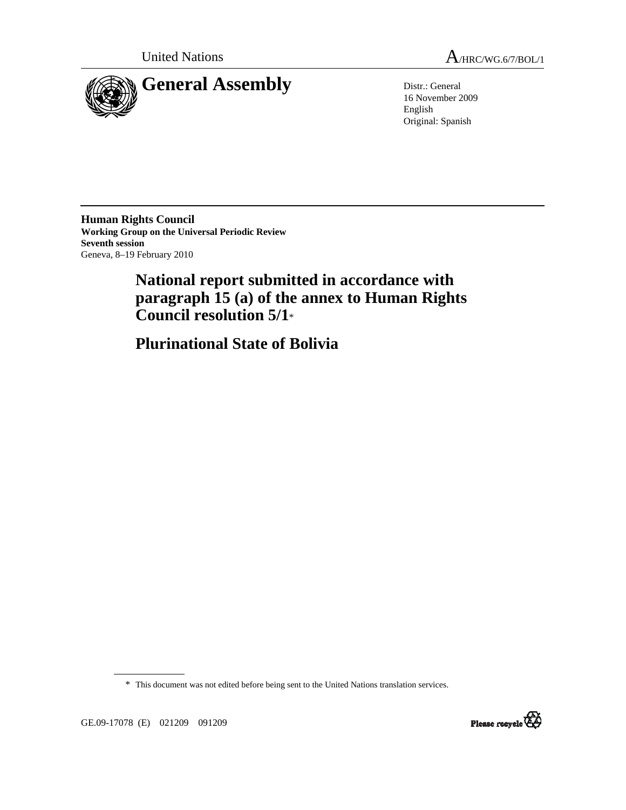



16 November 2009 English Original: Spanish

**Human Rights Council Working Group on the Universal Periodic Review Seventh session**  Geneva, 8–19 February 2010

> **National report submitted in accordance with paragraph 15 (a) of the annex to Human Rights Council resolution 5/1**\*

 **Plurinational State of Bolivia** 

\* This document was not edited before being sent to the United Nations translation services.

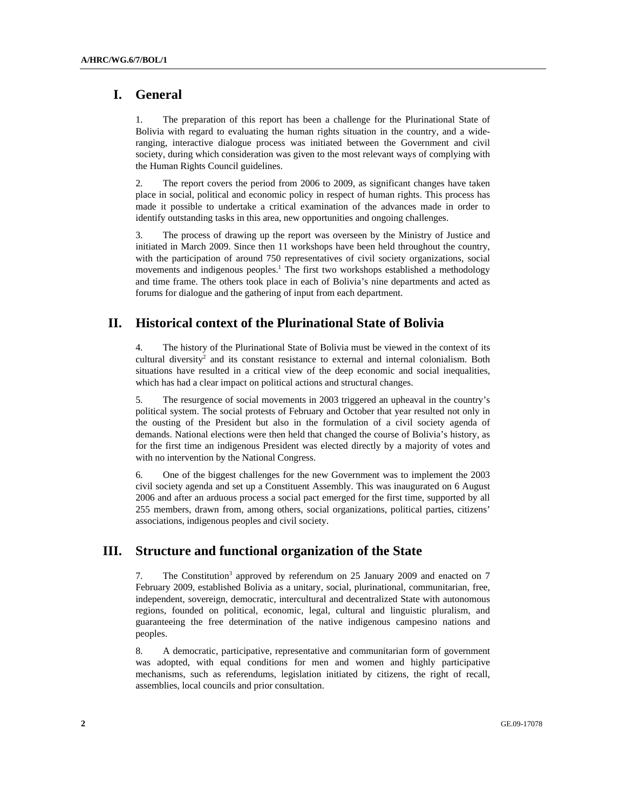# **I. General**

1. The preparation of this report has been a challenge for the Plurinational State of Bolivia with regard to evaluating the human rights situation in the country, and a wideranging, interactive dialogue process was initiated between the Government and civil society, during which consideration was given to the most relevant ways of complying with the Human Rights Council guidelines.

2. The report covers the period from 2006 to 2009, as significant changes have taken place in social, political and economic policy in respect of human rights. This process has made it possible to undertake a critical examination of the advances made in order to identify outstanding tasks in this area, new opportunities and ongoing challenges.

3. The process of drawing up the report was overseen by the Ministry of Justice and initiated in March 2009. Since then 11 workshops have been held throughout the country, with the participation of around 750 representatives of civil society organizations, social movements and indigenous peoples.<sup>1</sup> The first two workshops established a methodology and time frame. The others took place in each of Bolivia's nine departments and acted as forums for dialogue and the gathering of input from each department.

## **II. Historical context of the Plurinational State of Bolivia**

4. The history of the Plurinational State of Bolivia must be viewed in the context of its cultural diversity<sup>2</sup> and its constant resistance to external and internal colonialism. Both situations have resulted in a critical view of the deep economic and social inequalities, which has had a clear impact on political actions and structural changes.

5. The resurgence of social movements in 2003 triggered an upheaval in the country's political system. The social protests of February and October that year resulted not only in the ousting of the President but also in the formulation of a civil society agenda of demands. National elections were then held that changed the course of Bolivia's history, as for the first time an indigenous President was elected directly by a majority of votes and with no intervention by the National Congress.

6. One of the biggest challenges for the new Government was to implement the 2003 civil society agenda and set up a Constituent Assembly. This was inaugurated on 6 August 2006 and after an arduous process a social pact emerged for the first time, supported by all 255 members, drawn from, among others, social organizations, political parties, citizens' associations, indigenous peoples and civil society.

# **III. Structure and functional organization of the State**

7. The Constitution<sup>3</sup> approved by referendum on 25 January 2009 and enacted on 7 February 2009, established Bolivia as a unitary, social, plurinational, communitarian, free, independent, sovereign, democratic, intercultural and decentralized State with autonomous regions, founded on political, economic, legal, cultural and linguistic pluralism, and guaranteeing the free determination of the native indigenous campesino nations and peoples.

8. A democratic, participative, representative and communitarian form of government was adopted, with equal conditions for men and women and highly participative mechanisms, such as referendums, legislation initiated by citizens, the right of recall, assemblies, local councils and prior consultation.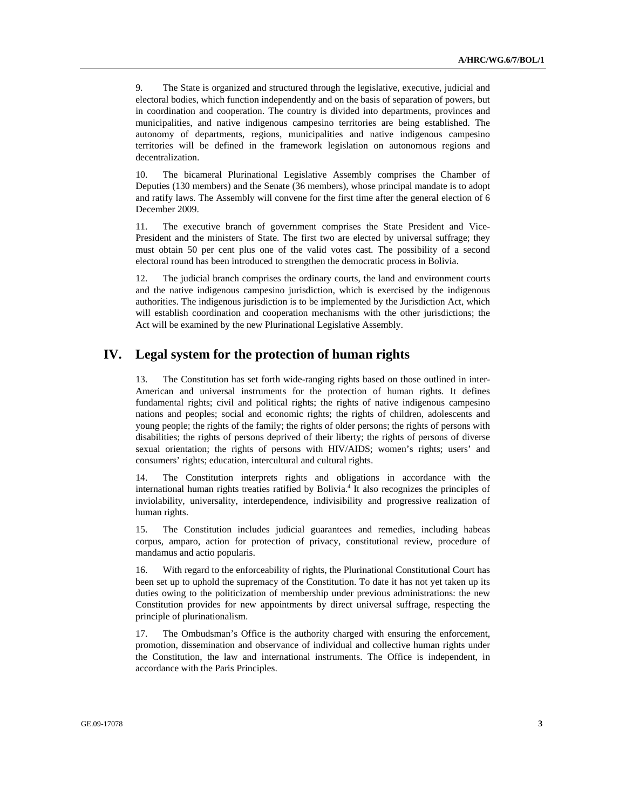9. The State is organized and structured through the legislative, executive, judicial and electoral bodies, which function independently and on the basis of separation of powers, but in coordination and cooperation. The country is divided into departments, provinces and municipalities, and native indigenous campesino territories are being established. The autonomy of departments, regions, municipalities and native indigenous campesino territories will be defined in the framework legislation on autonomous regions and decentralization.

10. The bicameral Plurinational Legislative Assembly comprises the Chamber of Deputies (130 members) and the Senate (36 members), whose principal mandate is to adopt and ratify laws. The Assembly will convene for the first time after the general election of 6 December 2009.

11. The executive branch of government comprises the State President and Vice-President and the ministers of State. The first two are elected by universal suffrage; they must obtain 50 per cent plus one of the valid votes cast. The possibility of a second electoral round has been introduced to strengthen the democratic process in Bolivia.

12. The judicial branch comprises the ordinary courts, the land and environment courts and the native indigenous campesino jurisdiction, which is exercised by the indigenous authorities. The indigenous jurisdiction is to be implemented by the Jurisdiction Act, which will establish coordination and cooperation mechanisms with the other jurisdictions; the Act will be examined by the new Plurinational Legislative Assembly.

## **IV. Legal system for the protection of human rights**

13. The Constitution has set forth wide-ranging rights based on those outlined in inter-American and universal instruments for the protection of human rights. It defines fundamental rights; civil and political rights; the rights of native indigenous campesino nations and peoples; social and economic rights; the rights of children, adolescents and young people; the rights of the family; the rights of older persons; the rights of persons with disabilities; the rights of persons deprived of their liberty; the rights of persons of diverse sexual orientation; the rights of persons with HIV/AIDS; women's rights; users' and consumers' rights; education, intercultural and cultural rights.

14. The Constitution interprets rights and obligations in accordance with the international human rights treaties ratified by Bolivia.<sup>4</sup> It also recognizes the principles of inviolability, universality, interdependence, indivisibility and progressive realization of human rights.

15. The Constitution includes judicial guarantees and remedies, including habeas corpus, amparo, action for protection of privacy, constitutional review, procedure of mandamus and actio popularis.

16. With regard to the enforceability of rights, the Plurinational Constitutional Court has been set up to uphold the supremacy of the Constitution. To date it has not yet taken up its duties owing to the politicization of membership under previous administrations: the new Constitution provides for new appointments by direct universal suffrage, respecting the principle of plurinationalism.

17. The Ombudsman's Office is the authority charged with ensuring the enforcement, promotion, dissemination and observance of individual and collective human rights under the Constitution, the law and international instruments. The Office is independent, in accordance with the Paris Principles.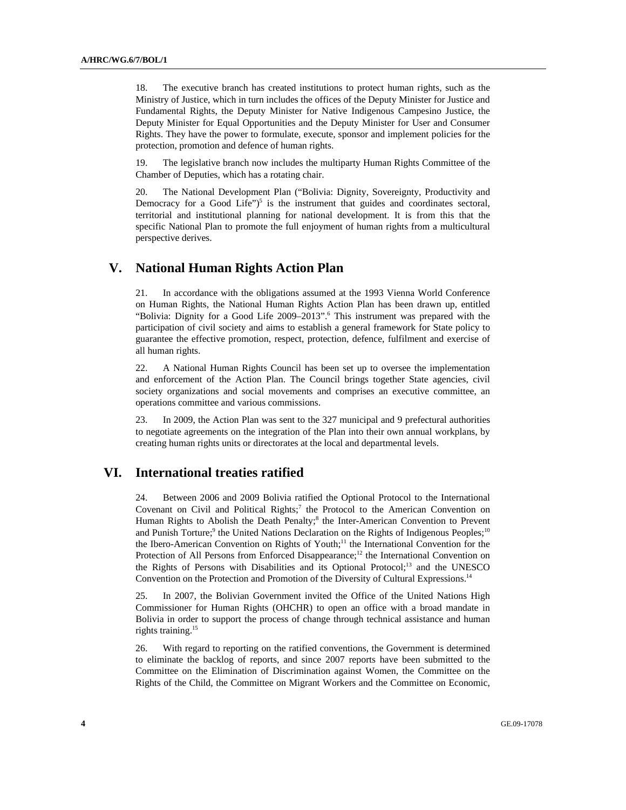18. The executive branch has created institutions to protect human rights, such as the Ministry of Justice, which in turn includes the offices of the Deputy Minister for Justice and Fundamental Rights, the Deputy Minister for Native Indigenous Campesino Justice, the Deputy Minister for Equal Opportunities and the Deputy Minister for User and Consumer Rights. They have the power to formulate, execute, sponsor and implement policies for the protection, promotion and defence of human rights.

19. The legislative branch now includes the multiparty Human Rights Committee of the Chamber of Deputies, which has a rotating chair.

20. The National Development Plan ("Bolivia: Dignity, Sovereignty, Productivity and Democracy for a Good Life" $)^5$  is the instrument that guides and coordinates sectoral, territorial and institutional planning for national development. It is from this that the specific National Plan to promote the full enjoyment of human rights from a multicultural perspective derives.

## **V. National Human Rights Action Plan**

21. In accordance with the obligations assumed at the 1993 Vienna World Conference on Human Rights, the National Human Rights Action Plan has been drawn up, entitled "Bolivia: Dignity for a Good Life 2009-2013".<sup>6</sup> This instrument was prepared with the participation of civil society and aims to establish a general framework for State policy to guarantee the effective promotion, respect, protection, defence, fulfilment and exercise of all human rights.

22. A National Human Rights Council has been set up to oversee the implementation and enforcement of the Action Plan. The Council brings together State agencies, civil society organizations and social movements and comprises an executive committee, an operations committee and various commissions.

23. In 2009, the Action Plan was sent to the 327 municipal and 9 prefectural authorities to negotiate agreements on the integration of the Plan into their own annual workplans, by creating human rights units or directorates at the local and departmental levels.

## **VI. International treaties ratified**

24. Between 2006 and 2009 Bolivia ratified the Optional Protocol to the International Covenant on Civil and Political Rights;<sup>7</sup> the Protocol to the American Convention on Human Rights to Abolish the Death Penalty;<sup>8</sup> the Inter-American Convention to Prevent and Punish Torture;<sup>9</sup> the United Nations Declaration on the Rights of Indigenous Peoples;<sup>10</sup> the Ibero-American Convention on Rights of Youth;<sup>11</sup> the International Convention for the Protection of All Persons from Enforced Disappearance;<sup>12</sup> the International Convention on the Rights of Persons with Disabilities and its Optional Protocol;<sup>13</sup> and the UNESCO Convention on the Protection and Promotion of the Diversity of Cultural Expressions.<sup>14</sup>

25. In 2007, the Bolivian Government invited the Office of the United Nations High Commissioner for Human Rights (OHCHR) to open an office with a broad mandate in Bolivia in order to support the process of change through technical assistance and human rights training.<sup>15</sup>

26. With regard to reporting on the ratified conventions, the Government is determined to eliminate the backlog of reports, and since 2007 reports have been submitted to the Committee on the Elimination of Discrimination against Women, the Committee on the Rights of the Child, the Committee on Migrant Workers and the Committee on Economic,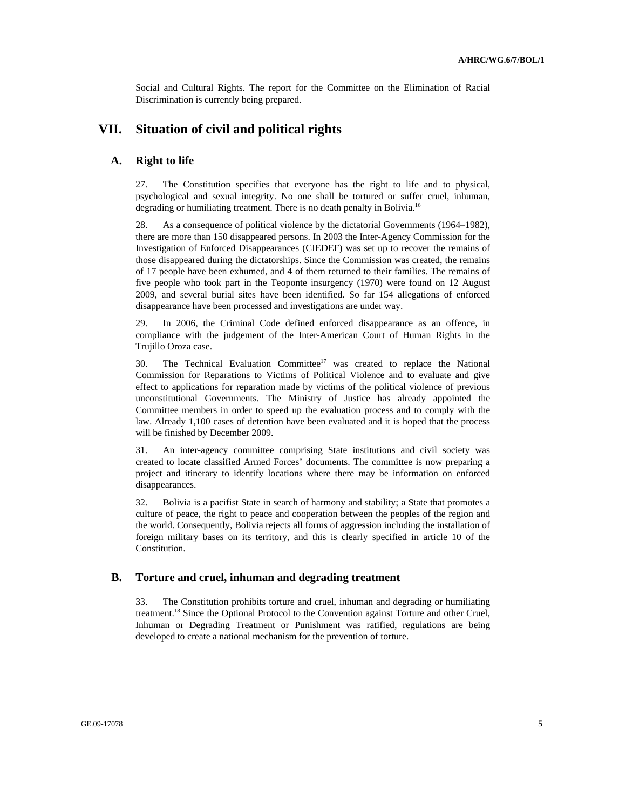Social and Cultural Rights. The report for the Committee on the Elimination of Racial Discrimination is currently being prepared.

# **VII. Situation of civil and political rights**

### **A. Right to life**

27. The Constitution specifies that everyone has the right to life and to physical, psychological and sexual integrity. No one shall be tortured or suffer cruel, inhuman, degrading or humiliating treatment. There is no death penalty in Bolivia.<sup>16</sup>

28. As a consequence of political violence by the dictatorial Governments (1964–1982), there are more than 150 disappeared persons. In 2003 the Inter-Agency Commission for the Investigation of Enforced Disappearances (CIEDEF) was set up to recover the remains of those disappeared during the dictatorships. Since the Commission was created, the remains of 17 people have been exhumed, and 4 of them returned to their families. The remains of five people who took part in the Teoponte insurgency (1970) were found on 12 August 2009, and several burial sites have been identified. So far 154 allegations of enforced disappearance have been processed and investigations are under way.

29. In 2006, the Criminal Code defined enforced disappearance as an offence, in compliance with the judgement of the Inter-American Court of Human Rights in the Trujillo Oroza case.

30. The Technical Evaluation Committee<sup>17</sup> was created to replace the National Commission for Reparations to Victims of Political Violence and to evaluate and give effect to applications for reparation made by victims of the political violence of previous unconstitutional Governments. The Ministry of Justice has already appointed the Committee members in order to speed up the evaluation process and to comply with the law. Already 1,100 cases of detention have been evaluated and it is hoped that the process will be finished by December 2009.

31. An inter-agency committee comprising State institutions and civil society was created to locate classified Armed Forces' documents. The committee is now preparing a project and itinerary to identify locations where there may be information on enforced disappearances.

32. Bolivia is a pacifist State in search of harmony and stability; a State that promotes a culture of peace, the right to peace and cooperation between the peoples of the region and the world. Consequently, Bolivia rejects all forms of aggression including the installation of foreign military bases on its territory, and this is clearly specified in article 10 of the Constitution.

#### **B. Torture and cruel, inhuman and degrading treatment**

33. The Constitution prohibits torture and cruel, inhuman and degrading or humiliating treatment.<sup>18</sup> Since the Optional Protocol to the Convention against Torture and other Cruel, Inhuman or Degrading Treatment or Punishment was ratified, regulations are being developed to create a national mechanism for the prevention of torture.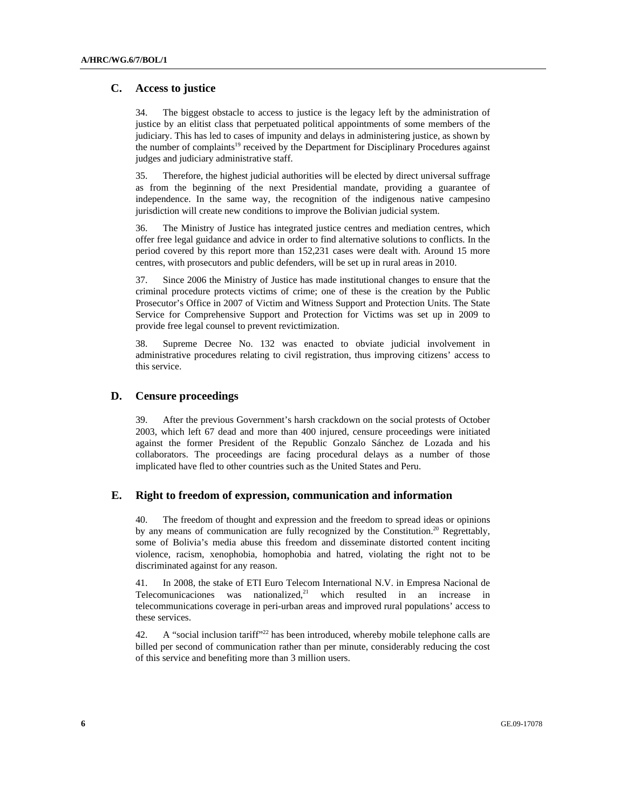#### **C. Access to justice**

34. The biggest obstacle to access to justice is the legacy left by the administration of justice by an elitist class that perpetuated political appointments of some members of the judiciary. This has led to cases of impunity and delays in administering justice, as shown by the number of complaints<sup>19</sup> received by the Department for Disciplinary Procedures against judges and judiciary administrative staff.

35. Therefore, the highest judicial authorities will be elected by direct universal suffrage as from the beginning of the next Presidential mandate, providing a guarantee of independence. In the same way, the recognition of the indigenous native campesino jurisdiction will create new conditions to improve the Bolivian judicial system.

36. The Ministry of Justice has integrated justice centres and mediation centres, which offer free legal guidance and advice in order to find alternative solutions to conflicts. In the period covered by this report more than 152,231 cases were dealt with. Around 15 more centres, with prosecutors and public defenders, will be set up in rural areas in 2010.

37. Since 2006 the Ministry of Justice has made institutional changes to ensure that the criminal procedure protects victims of crime; one of these is the creation by the Public Prosecutor's Office in 2007 of Victim and Witness Support and Protection Units. The State Service for Comprehensive Support and Protection for Victims was set up in 2009 to provide free legal counsel to prevent revictimization.

38. Supreme Decree No. 132 was enacted to obviate judicial involvement in administrative procedures relating to civil registration, thus improving citizens' access to this service.

### **D. Censure proceedings**

39. After the previous Government's harsh crackdown on the social protests of October 2003, which left 67 dead and more than 400 injured, censure proceedings were initiated against the former President of the Republic Gonzalo Sánchez de Lozada and his collaborators. The proceedings are facing procedural delays as a number of those implicated have fled to other countries such as the United States and Peru.

#### **E. Right to freedom of expression, communication and information**

40. The freedom of thought and expression and the freedom to spread ideas or opinions by any means of communication are fully recognized by the Constitution.<sup>20</sup> Regrettably, some of Bolivia's media abuse this freedom and disseminate distorted content inciting violence, racism, xenophobia, homophobia and hatred, violating the right not to be discriminated against for any reason.

41. In 2008, the stake of ETI Euro Telecom International N.V. in Empresa Nacional de Telecomunicaciones was nationalized, $2^1$  which resulted in an increase in telecommunications coverage in peri-urban areas and improved rural populations' access to these services.

42. A "social inclusion tariff"<sup>22</sup> has been introduced, whereby mobile telephone calls are billed per second of communication rather than per minute, considerably reducing the cost of this service and benefiting more than 3 million users.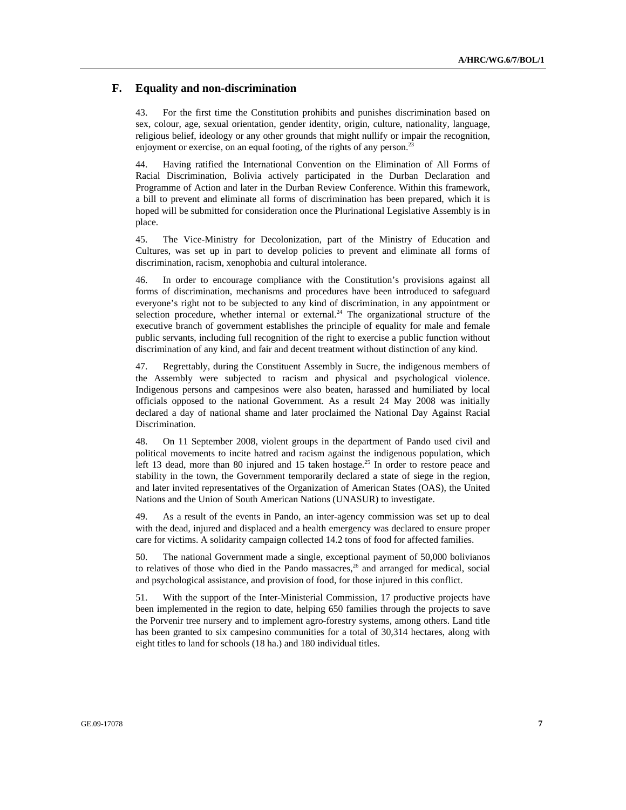#### **F. Equality and non-discrimination**

43. For the first time the Constitution prohibits and punishes discrimination based on sex, colour, age, sexual orientation, gender identity, origin, culture, nationality, language, religious belief, ideology or any other grounds that might nullify or impair the recognition, enjoyment or exercise, on an equal footing, of the rights of any person.<sup>23</sup>

Having ratified the International Convention on the Elimination of All Forms of Racial Discrimination, Bolivia actively participated in the Durban Declaration and Programme of Action and later in the Durban Review Conference. Within this framework, a bill to prevent and eliminate all forms of discrimination has been prepared, which it is hoped will be submitted for consideration once the Plurinational Legislative Assembly is in place.

45. The Vice-Ministry for Decolonization, part of the Ministry of Education and Cultures, was set up in part to develop policies to prevent and eliminate all forms of discrimination, racism, xenophobia and cultural intolerance.

46. In order to encourage compliance with the Constitution's provisions against all forms of discrimination, mechanisms and procedures have been introduced to safeguard everyone's right not to be subjected to any kind of discrimination, in any appointment or selection procedure, whether internal or external.<sup>24</sup> The organizational structure of the executive branch of government establishes the principle of equality for male and female public servants, including full recognition of the right to exercise a public function without discrimination of any kind, and fair and decent treatment without distinction of any kind.

47. Regrettably, during the Constituent Assembly in Sucre, the indigenous members of the Assembly were subjected to racism and physical and psychological violence. Indigenous persons and campesinos were also beaten, harassed and humiliated by local officials opposed to the national Government. As a result 24 May 2008 was initially declared a day of national shame and later proclaimed the National Day Against Racial Discrimination.

48. On 11 September 2008, violent groups in the department of Pando used civil and political movements to incite hatred and racism against the indigenous population, which left 13 dead, more than 80 injured and 15 taken hostage.<sup>25</sup> In order to restore peace and stability in the town, the Government temporarily declared a state of siege in the region, and later invited representatives of the Organization of American States (OAS), the United Nations and the Union of South American Nations (UNASUR) to investigate.

49. As a result of the events in Pando, an inter-agency commission was set up to deal with the dead, injured and displaced and a health emergency was declared to ensure proper care for victims. A solidarity campaign collected 14.2 tons of food for affected families.

50. The national Government made a single, exceptional payment of 50,000 bolivianos to relatives of those who died in the Pando massacres,<sup>26</sup> and arranged for medical, social and psychological assistance, and provision of food, for those injured in this conflict.

51. With the support of the Inter-Ministerial Commission, 17 productive projects have been implemented in the region to date, helping 650 families through the projects to save the Porvenir tree nursery and to implement agro-forestry systems, among others. Land title has been granted to six campesino communities for a total of 30,314 hectares, along with eight titles to land for schools (18 ha.) and 180 individual titles.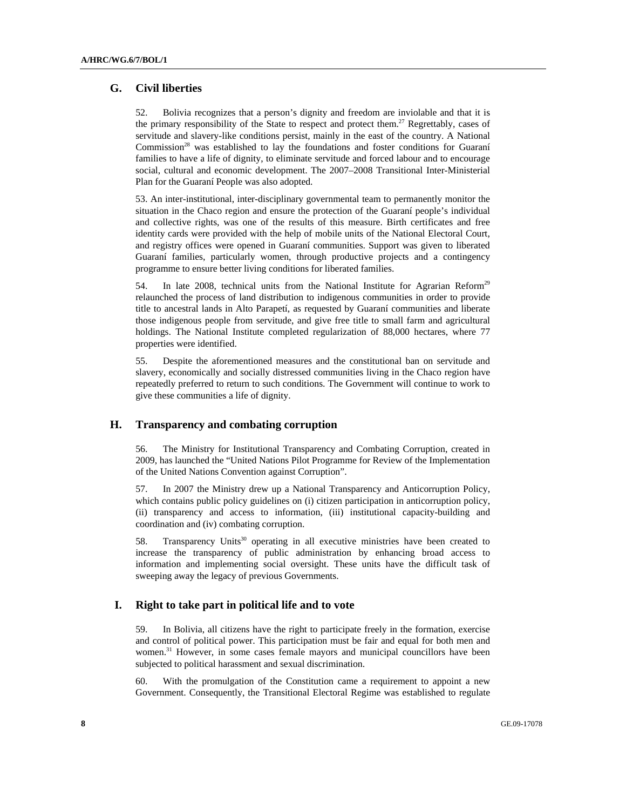### **G. Civil liberties**

52. Bolivia recognizes that a person's dignity and freedom are inviolable and that it is the primary responsibility of the State to respect and protect them.<sup>27</sup> Regrettably, cases of servitude and slavery-like conditions persist, mainly in the east of the country. A National Commission<sup>28</sup> was established to lay the foundations and foster conditions for Guaraní families to have a life of dignity, to eliminate servitude and forced labour and to encourage social, cultural and economic development. The 2007–2008 Transitional Inter-Ministerial Plan for the Guaraní People was also adopted.

53. An inter-institutional, inter-disciplinary governmental team to permanently monitor the situation in the Chaco region and ensure the protection of the Guaraní people's individual and collective rights, was one of the results of this measure. Birth certificates and free identity cards were provided with the help of mobile units of the National Electoral Court, and registry offices were opened in Guaraní communities. Support was given to liberated Guaraní families, particularly women, through productive projects and a contingency programme to ensure better living conditions for liberated families.

54. In late 2008, technical units from the National Institute for Agrarian Reform<sup>29</sup> relaunched the process of land distribution to indigenous communities in order to provide title to ancestral lands in Alto Parapetí, as requested by Guaraní communities and liberate those indigenous people from servitude, and give free title to small farm and agricultural holdings. The National Institute completed regularization of 88,000 hectares, where 77 properties were identified.

55. Despite the aforementioned measures and the constitutional ban on servitude and slavery, economically and socially distressed communities living in the Chaco region have repeatedly preferred to return to such conditions. The Government will continue to work to give these communities a life of dignity.

### **H. Transparency and combating corruption**

56. The Ministry for Institutional Transparency and Combating Corruption, created in 2009, has launched the "United Nations Pilot Programme for Review of the Implementation of the United Nations Convention against Corruption".

57. In 2007 the Ministry drew up a National Transparency and Anticorruption Policy, which contains public policy guidelines on (i) citizen participation in anticorruption policy, (ii) transparency and access to information, (iii) institutional capacity-building and coordination and (iv) combating corruption.

58. Transparency Units<sup>30</sup> operating in all executive ministries have been created to increase the transparency of public administration by enhancing broad access to information and implementing social oversight. These units have the difficult task of sweeping away the legacy of previous Governments.

### **I. Right to take part in political life and to vote**

59. In Bolivia, all citizens have the right to participate freely in the formation, exercise and control of political power. This participation must be fair and equal for both men and women.<sup>31</sup> However, in some cases female mayors and municipal councillors have been subjected to political harassment and sexual discrimination.

60. With the promulgation of the Constitution came a requirement to appoint a new Government. Consequently, the Transitional Electoral Regime was established to regulate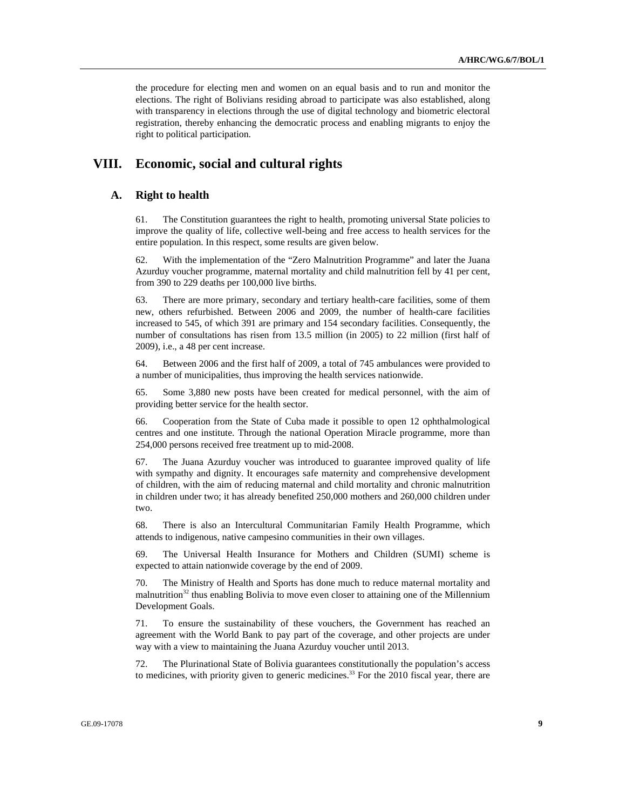the procedure for electing men and women on an equal basis and to run and monitor the elections. The right of Bolivians residing abroad to participate was also established, along with transparency in elections through the use of digital technology and biometric electoral registration, thereby enhancing the democratic process and enabling migrants to enjoy the right to political participation.

## **VIII. Economic, social and cultural rights**

#### **A. Right to health**

61. The Constitution guarantees the right to health, promoting universal State policies to improve the quality of life, collective well-being and free access to health services for the entire population. In this respect, some results are given below.

62. With the implementation of the "Zero Malnutrition Programme" and later the Juana Azurduy voucher programme, maternal mortality and child malnutrition fell by 41 per cent, from 390 to 229 deaths per 100,000 live births.

63. There are more primary, secondary and tertiary health-care facilities, some of them new, others refurbished. Between 2006 and 2009, the number of health-care facilities increased to 545, of which 391 are primary and 154 secondary facilities. Consequently, the number of consultations has risen from 13.5 million (in 2005) to 22 million (first half of 2009), i.e., a 48 per cent increase.

64. Between 2006 and the first half of 2009, a total of 745 ambulances were provided to a number of municipalities, thus improving the health services nationwide.

65. Some 3,880 new posts have been created for medical personnel, with the aim of providing better service for the health sector.

66. Cooperation from the State of Cuba made it possible to open 12 ophthalmological centres and one institute. Through the national Operation Miracle programme, more than 254,000 persons received free treatment up to mid-2008.

67. The Juana Azurduy voucher was introduced to guarantee improved quality of life with sympathy and dignity. It encourages safe maternity and comprehensive development of children, with the aim of reducing maternal and child mortality and chronic malnutrition in children under two; it has already benefited 250,000 mothers and 260,000 children under two.

68. There is also an Intercultural Communitarian Family Health Programme, which attends to indigenous, native campesino communities in their own villages.

69. The Universal Health Insurance for Mothers and Children (SUMI) scheme is expected to attain nationwide coverage by the end of 2009.

70. The Ministry of Health and Sports has done much to reduce maternal mortality and malnutrition<sup>32</sup> thus enabling Bolivia to move even closer to attaining one of the Millennium Development Goals.

71. To ensure the sustainability of these vouchers, the Government has reached an agreement with the World Bank to pay part of the coverage, and other projects are under way with a view to maintaining the Juana Azurduy voucher until 2013.

72. The Plurinational State of Bolivia guarantees constitutionally the population's access to medicines, with priority given to generic medicines.<sup>33</sup> For the 2010 fiscal year, there are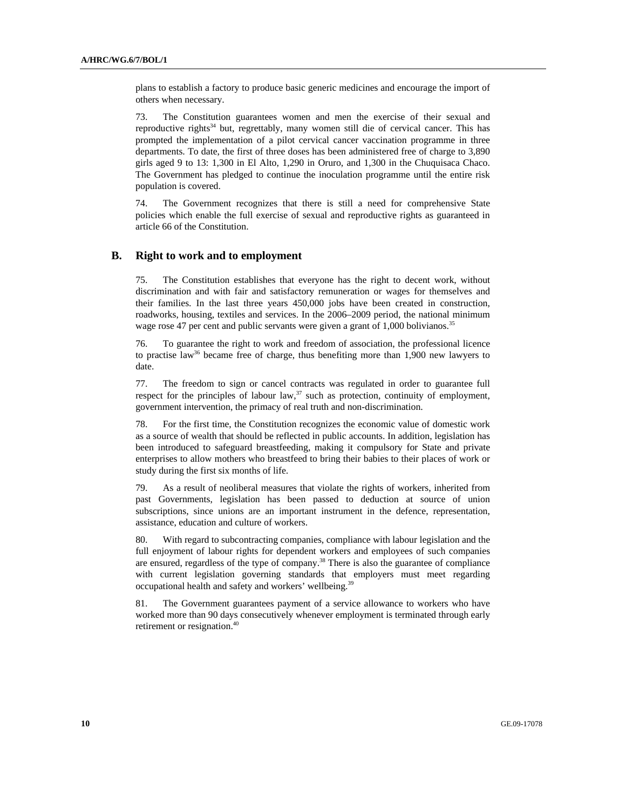plans to establish a factory to produce basic generic medicines and encourage the import of others when necessary.

73. The Constitution guarantees women and men the exercise of their sexual and reproductive rights<sup>34</sup> but, regrettably, many women still die of cervical cancer. This has prompted the implementation of a pilot cervical cancer vaccination programme in three departments. To date, the first of three doses has been administered free of charge to 3,890 girls aged 9 to 13: 1,300 in El Alto, 1,290 in Oruro, and 1,300 in the Chuquisaca Chaco. The Government has pledged to continue the inoculation programme until the entire risk population is covered.

74. The Government recognizes that there is still a need for comprehensive State policies which enable the full exercise of sexual and reproductive rights as guaranteed in article 66 of the Constitution.

#### **B. Right to work and to employment**

75. The Constitution establishes that everyone has the right to decent work, without discrimination and with fair and satisfactory remuneration or wages for themselves and their families. In the last three years 450,000 jobs have been created in construction, roadworks, housing, textiles and services. In the 2006–2009 period, the national minimum wage rose 47 per cent and public servants were given a grant of 1,000 bolivianos.<sup>35</sup>

76. To guarantee the right to work and freedom of association, the professional licence to practise law<sup>36</sup> became free of charge, thus benefiting more than  $1,900$  new lawyers to date.

77. The freedom to sign or cancel contracts was regulated in order to guarantee full respect for the principles of labour law, $37$  such as protection, continuity of employment, government intervention, the primacy of real truth and non-discrimination.

78. For the first time, the Constitution recognizes the economic value of domestic work as a source of wealth that should be reflected in public accounts. In addition, legislation has been introduced to safeguard breastfeeding, making it compulsory for State and private enterprises to allow mothers who breastfeed to bring their babies to their places of work or study during the first six months of life.

79. As a result of neoliberal measures that violate the rights of workers, inherited from past Governments, legislation has been passed to deduction at source of union subscriptions, since unions are an important instrument in the defence, representation, assistance, education and culture of workers.

80. With regard to subcontracting companies, compliance with labour legislation and the full enjoyment of labour rights for dependent workers and employees of such companies are ensured, regardless of the type of company.<sup>38</sup> There is also the guarantee of compliance with current legislation governing standards that employers must meet regarding occupational health and safety and workers' wellbeing.39

81. The Government guarantees payment of a service allowance to workers who have worked more than 90 days consecutively whenever employment is terminated through early retirement or resignation.<sup>40</sup>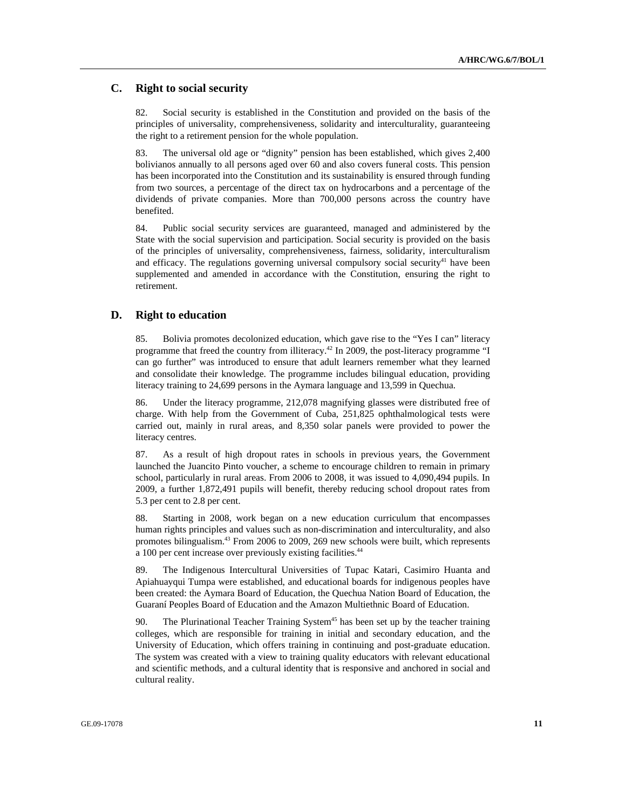#### **C. Right to social security**

82. Social security is established in the Constitution and provided on the basis of the principles of universality, comprehensiveness, solidarity and interculturality, guaranteeing the right to a retirement pension for the whole population.

83. The universal old age or "dignity" pension has been established, which gives 2,400 bolivianos annually to all persons aged over 60 and also covers funeral costs. This pension has been incorporated into the Constitution and its sustainability is ensured through funding from two sources, a percentage of the direct tax on hydrocarbons and a percentage of the dividends of private companies. More than 700,000 persons across the country have benefited.

84. Public social security services are guaranteed, managed and administered by the State with the social supervision and participation. Social security is provided on the basis of the principles of universality, comprehensiveness, fairness, solidarity, interculturalism and efficacy. The regulations governing universal compulsory social security<sup>41</sup> have been supplemented and amended in accordance with the Constitution, ensuring the right to retirement.

#### **D. Right to education**

85. Bolivia promotes decolonized education, which gave rise to the "Yes I can" literacy programme that freed the country from illiteracy.<sup>42</sup> In 2009, the post-literacy programme "I can go further" was introduced to ensure that adult learners remember what they learned and consolidate their knowledge. The programme includes bilingual education, providing literacy training to 24,699 persons in the Aymara language and 13,599 in Quechua.

86. Under the literacy programme, 212,078 magnifying glasses were distributed free of charge. With help from the Government of Cuba, 251,825 ophthalmological tests were carried out, mainly in rural areas, and 8,350 solar panels were provided to power the literacy centres.

87. As a result of high dropout rates in schools in previous years, the Government launched the Juancito Pinto voucher, a scheme to encourage children to remain in primary school, particularly in rural areas. From 2006 to 2008, it was issued to 4,090,494 pupils. In 2009, a further 1,872,491 pupils will benefit, thereby reducing school dropout rates from 5.3 per cent to 2.8 per cent.

88. Starting in 2008, work began on a new education curriculum that encompasses human rights principles and values such as non-discrimination and interculturality, and also promotes bilingualism.<sup>43</sup> From 2006 to 2009, 269 new schools were built, which represents a 100 per cent increase over previously existing facilities.<sup>44</sup>

89. The Indigenous Intercultural Universities of Tupac Katari, Casimiro Huanta and Apiahuayqui Tumpa were established, and educational boards for indigenous peoples have been created: the Aymara Board of Education, the Quechua Nation Board of Education, the Guaraní Peoples Board of Education and the Amazon Multiethnic Board of Education.

90. The Plurinational Teacher Training System<sup>45</sup> has been set up by the teacher training colleges, which are responsible for training in initial and secondary education, and the University of Education, which offers training in continuing and post-graduate education. The system was created with a view to training quality educators with relevant educational and scientific methods, and a cultural identity that is responsive and anchored in social and cultural reality.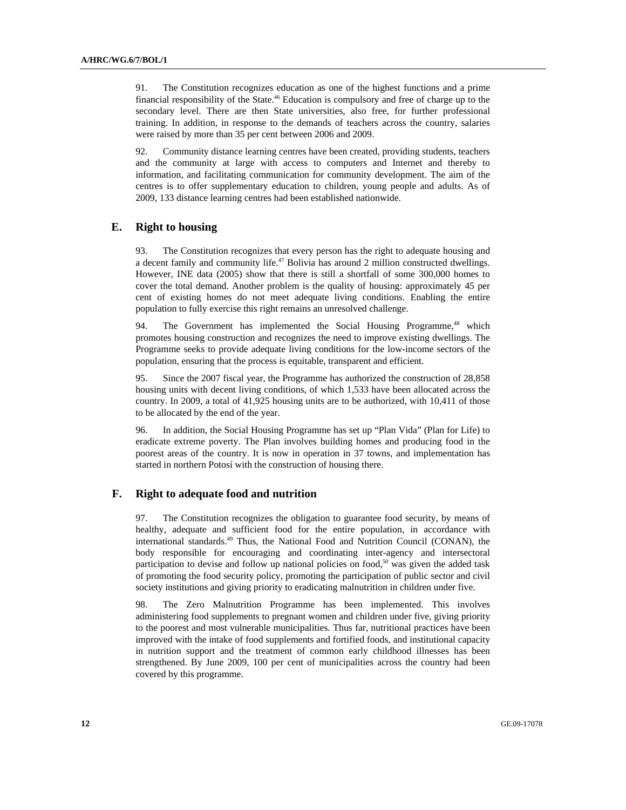91. The Constitution recognizes education as one of the highest functions and a prime financial responsibility of the State.<sup>46</sup> Education is compulsory and free of charge up to the secondary level. There are then State universities, also free, for further professional training. In addition, in response to the demands of teachers across the country, salaries were raised by more than 35 per cent between 2006 and 2009.

92. Community distance learning centres have been created, providing students, teachers and the community at large with access to computers and Internet and thereby to information, and facilitating communication for community development. The aim of the centres is to offer supplementary education to children, young people and adults. As of 2009, 133 distance learning centres had been established nationwide.

### **E. Right to housing**

93. The Constitution recognizes that every person has the right to adequate housing and a decent family and community life. $47$  Bolivia has around 2 million constructed dwellings. However, INE data (2005) show that there is still a shortfall of some 300,000 homes to cover the total demand. Another problem is the quality of housing: approximately 45 per cent of existing homes do not meet adequate living conditions. Enabling the entire population to fully exercise this right remains an unresolved challenge.

94. The Government has implemented the Social Housing Programme,<sup>48</sup> which promotes housing construction and recognizes the need to improve existing dwellings. The Programme seeks to provide adequate living conditions for the low-income sectors of the population, ensuring that the process is equitable, transparent and efficient.

95. Since the 2007 fiscal year, the Programme has authorized the construction of 28,858 housing units with decent living conditions, of which 1,533 have been allocated across the country. In 2009, a total of 41,925 housing units are to be authorized, with 10,411 of those to be allocated by the end of the year.

96. In addition, the Social Housing Programme has set up "Plan Vida" (Plan for Life) to eradicate extreme poverty. The Plan involves building homes and producing food in the poorest areas of the country. It is now in operation in 37 towns, and implementation has started in northern Potosí with the construction of housing there.

#### **F. Right to adequate food and nutrition**

97. The Constitution recognizes the obligation to guarantee food security, by means of healthy, adequate and sufficient food for the entire population, in accordance with international standards.<sup>49</sup> Thus, the National Food and Nutrition Council (CONAN), the body responsible for encouraging and coordinating inter-agency and intersectoral participation to devise and follow up national policies on food,<sup>50</sup> was given the added task of promoting the food security policy, promoting the participation of public sector and civil society institutions and giving priority to eradicating malnutrition in children under five.

98. The Zero Malnutrition Programme has been implemented. This involves administering food supplements to pregnant women and children under five, giving priority to the poorest and most vulnerable municipalities. Thus far, nutritional practices have been improved with the intake of food supplements and fortified foods, and institutional capacity in nutrition support and the treatment of common early childhood illnesses has been strengthened. By June 2009, 100 per cent of municipalities across the country had been covered by this programme.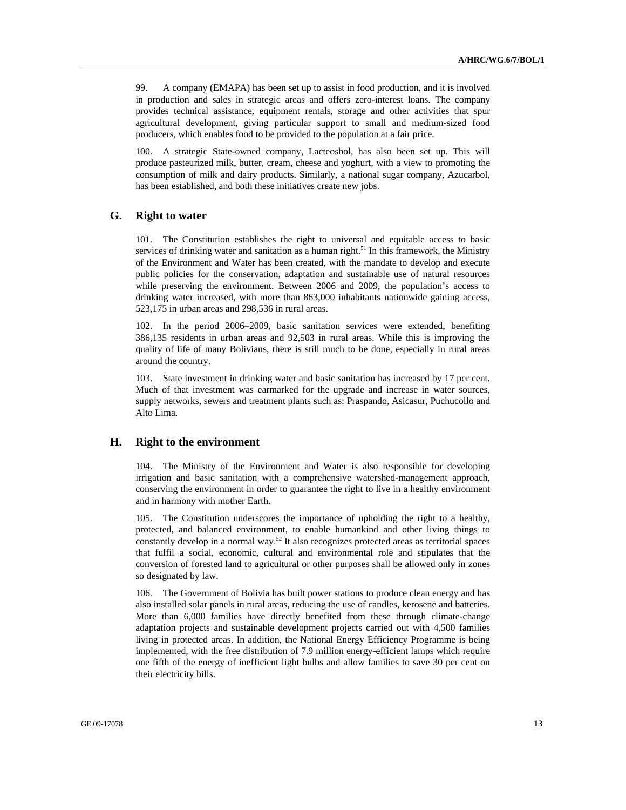99. A company (EMAPA) has been set up to assist in food production, and it is involved in production and sales in strategic areas and offers zero-interest loans. The company provides technical assistance, equipment rentals, storage and other activities that spur agricultural development, giving particular support to small and medium-sized food producers, which enables food to be provided to the population at a fair price.

100. A strategic State-owned company, Lacteosbol, has also been set up. This will produce pasteurized milk, butter, cream, cheese and yoghurt, with a view to promoting the consumption of milk and dairy products. Similarly, a national sugar company, Azucarbol, has been established, and both these initiatives create new jobs.

#### **G. Right to water**

101. The Constitution establishes the right to universal and equitable access to basic services of drinking water and sanitation as a human right.<sup>51</sup> In this framework, the Ministry of the Environment and Water has been created, with the mandate to develop and execute public policies for the conservation, adaptation and sustainable use of natural resources while preserving the environment. Between 2006 and 2009, the population's access to drinking water increased, with more than 863,000 inhabitants nationwide gaining access, 523,175 in urban areas and 298,536 in rural areas.

102. In the period 2006–2009, basic sanitation services were extended, benefiting 386,135 residents in urban areas and 92,503 in rural areas. While this is improving the quality of life of many Bolivians, there is still much to be done, especially in rural areas around the country.

103. State investment in drinking water and basic sanitation has increased by 17 per cent. Much of that investment was earmarked for the upgrade and increase in water sources, supply networks, sewers and treatment plants such as: Praspando, Asicasur, Puchucollo and Alto Lima.

#### **H. Right to the environment**

104. The Ministry of the Environment and Water is also responsible for developing irrigation and basic sanitation with a comprehensive watershed-management approach, conserving the environment in order to guarantee the right to live in a healthy environment and in harmony with mother Earth.

105. The Constitution underscores the importance of upholding the right to a healthy, protected, and balanced environment, to enable humankind and other living things to constantly develop in a normal way.<sup>52</sup> It also recognizes protected areas as territorial spaces that fulfil a social, economic, cultural and environmental role and stipulates that the conversion of forested land to agricultural or other purposes shall be allowed only in zones so designated by law.

106. The Government of Bolivia has built power stations to produce clean energy and has also installed solar panels in rural areas, reducing the use of candles, kerosene and batteries. More than 6,000 families have directly benefited from these through climate-change adaptation projects and sustainable development projects carried out with 4,500 families living in protected areas. In addition, the National Energy Efficiency Programme is being implemented, with the free distribution of 7.9 million energy-efficient lamps which require one fifth of the energy of inefficient light bulbs and allow families to save 30 per cent on their electricity bills.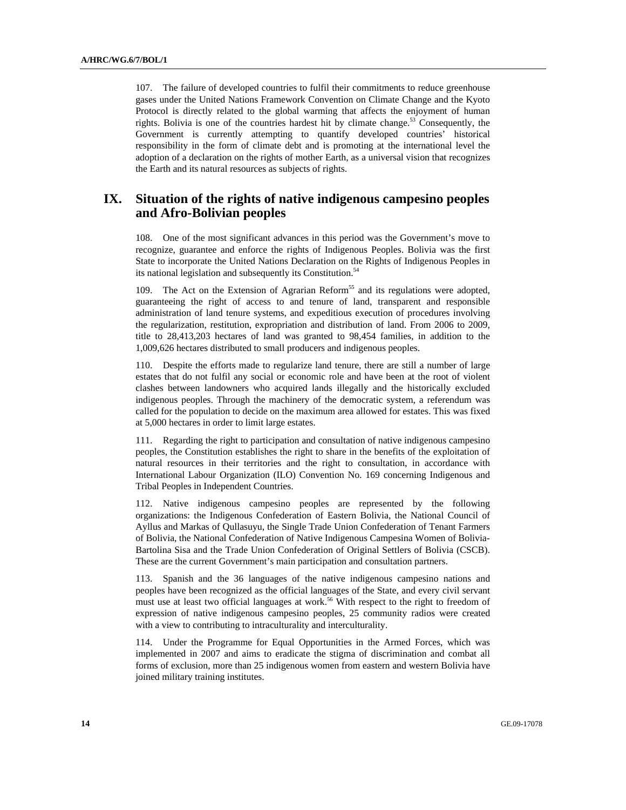107. The failure of developed countries to fulfil their commitments to reduce greenhouse gases under the United Nations Framework Convention on Climate Change and the Kyoto Protocol is directly related to the global warming that affects the enjoyment of human rights. Bolivia is one of the countries hardest hit by climate change.<sup>53</sup> Consequently, the Government is currently attempting to quantify developed countries' historical responsibility in the form of climate debt and is promoting at the international level the adoption of a declaration on the rights of mother Earth, as a universal vision that recognizes the Earth and its natural resources as subjects of rights.

# **IX. Situation of the rights of native indigenous campesino peoples and Afro-Bolivian peoples**

108. One of the most significant advances in this period was the Government's move to recognize, guarantee and enforce the rights of Indigenous Peoples. Bolivia was the first State to incorporate the United Nations Declaration on the Rights of Indigenous Peoples in its national legislation and subsequently its Constitution.<sup>54</sup>

109. The Act on the Extension of Agrarian Reform<sup>55</sup> and its regulations were adopted, guaranteeing the right of access to and tenure of land, transparent and responsible administration of land tenure systems, and expeditious execution of procedures involving the regularization, restitution, expropriation and distribution of land. From 2006 to 2009, title to 28,413,203 hectares of land was granted to 98,454 families, in addition to the 1,009,626 hectares distributed to small producers and indigenous peoples.

110. Despite the efforts made to regularize land tenure, there are still a number of large estates that do not fulfil any social or economic role and have been at the root of violent clashes between landowners who acquired lands illegally and the historically excluded indigenous peoples. Through the machinery of the democratic system, a referendum was called for the population to decide on the maximum area allowed for estates. This was fixed at 5,000 hectares in order to limit large estates.

111. Regarding the right to participation and consultation of native indigenous campesino peoples, the Constitution establishes the right to share in the benefits of the exploitation of natural resources in their territories and the right to consultation, in accordance with International Labour Organization (ILO) Convention No. 169 concerning Indigenous and Tribal Peoples in Independent Countries.

112. Native indigenous campesino peoples are represented by the following organizations: the Indigenous Confederation of Eastern Bolivia, the National Council of Ayllus and Markas of Qullasuyu, the Single Trade Union Confederation of Tenant Farmers of Bolivia, the National Confederation of Native Indigenous Campesina Women of Bolivia-Bartolina Sisa and the Trade Union Confederation of Original Settlers of Bolivia (CSCB). These are the current Government's main participation and consultation partners.

113. Spanish and the 36 languages of the native indigenous campesino nations and peoples have been recognized as the official languages of the State, and every civil servant must use at least two official languages at work.<sup>56</sup> With respect to the right to freedom of expression of native indigenous campesino peoples, 25 community radios were created with a view to contributing to intraculturality and interculturality.

114. Under the Programme for Equal Opportunities in the Armed Forces, which was implemented in 2007 and aims to eradicate the stigma of discrimination and combat all forms of exclusion, more than 25 indigenous women from eastern and western Bolivia have joined military training institutes.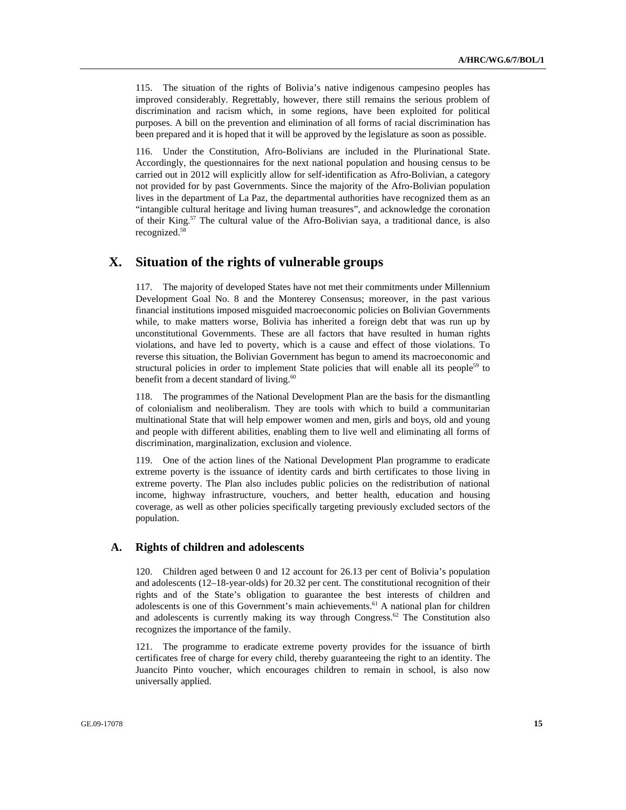115. The situation of the rights of Bolivia's native indigenous campesino peoples has improved considerably. Regrettably, however, there still remains the serious problem of discrimination and racism which, in some regions, have been exploited for political purposes. A bill on the prevention and elimination of all forms of racial discrimination has been prepared and it is hoped that it will be approved by the legislature as soon as possible.

116. Under the Constitution, Afro-Bolivians are included in the Plurinational State. Accordingly, the questionnaires for the next national population and housing census to be carried out in 2012 will explicitly allow for self-identification as Afro-Bolivian, a category not provided for by past Governments. Since the majority of the Afro-Bolivian population lives in the department of La Paz, the departmental authorities have recognized them as an "intangible cultural heritage and living human treasures", and acknowledge the coronation of their King.<sup>57</sup> The cultural value of the Afro-Bolivian saya, a traditional dance, is also recognized.<sup>58</sup>

## **X. Situation of the rights of vulnerable groups**

117. The majority of developed States have not met their commitments under Millennium Development Goal No. 8 and the Monterey Consensus; moreover, in the past various financial institutions imposed misguided macroeconomic policies on Bolivian Governments while, to make matters worse, Bolivia has inherited a foreign debt that was run up by unconstitutional Governments. These are all factors that have resulted in human rights violations, and have led to poverty, which is a cause and effect of those violations. To reverse this situation, the Bolivian Government has begun to amend its macroeconomic and structural policies in order to implement State policies that will enable all its people<sup>59</sup> to benefit from a decent standard of living.<sup>60</sup>

118. The programmes of the National Development Plan are the basis for the dismantling of colonialism and neoliberalism. They are tools with which to build a communitarian multinational State that will help empower women and men, girls and boys, old and young and people with different abilities, enabling them to live well and eliminating all forms of discrimination, marginalization, exclusion and violence.

119. One of the action lines of the National Development Plan programme to eradicate extreme poverty is the issuance of identity cards and birth certificates to those living in extreme poverty. The Plan also includes public policies on the redistribution of national income, highway infrastructure, vouchers, and better health, education and housing coverage, as well as other policies specifically targeting previously excluded sectors of the population.

#### **A. Rights of children and adolescents**

120. Children aged between 0 and 12 account for 26.13 per cent of Bolivia's population and adolescents (12–18-year-olds) for 20.32 per cent. The constitutional recognition of their rights and of the State's obligation to guarantee the best interests of children and adolescents is one of this Government's main achievements.<sup>61</sup> A national plan for children and adolescents is currently making its way through Congress.<sup>62</sup> The Constitution also recognizes the importance of the family.

121. The programme to eradicate extreme poverty provides for the issuance of birth certificates free of charge for every child, thereby guaranteeing the right to an identity. The Juancito Pinto voucher, which encourages children to remain in school, is also now universally applied.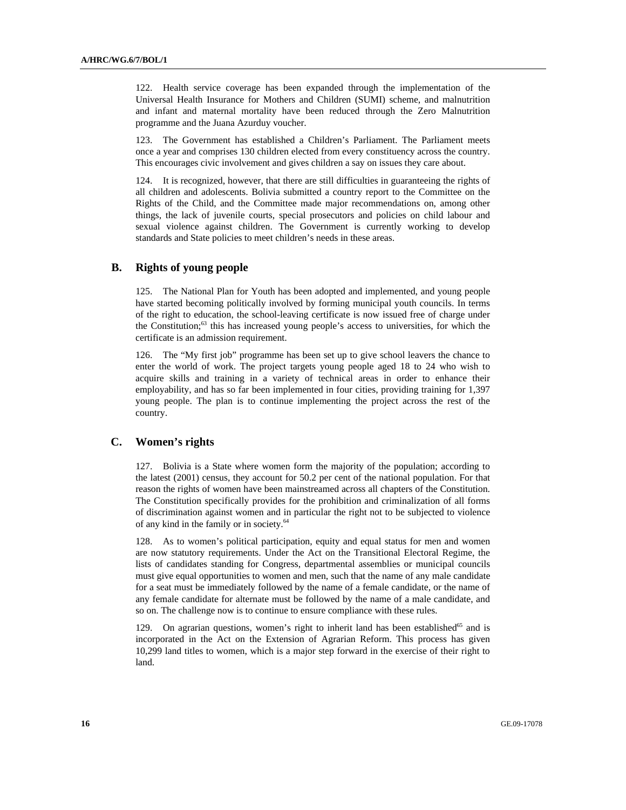122. Health service coverage has been expanded through the implementation of the Universal Health Insurance for Mothers and Children (SUMI) scheme, and malnutrition and infant and maternal mortality have been reduced through the Zero Malnutrition programme and the Juana Azurduy voucher.

123. The Government has established a Children's Parliament. The Parliament meets once a year and comprises 130 children elected from every constituency across the country. This encourages civic involvement and gives children a say on issues they care about.

124. It is recognized, however, that there are still difficulties in guaranteeing the rights of all children and adolescents. Bolivia submitted a country report to the Committee on the Rights of the Child, and the Committee made major recommendations on, among other things, the lack of juvenile courts, special prosecutors and policies on child labour and sexual violence against children. The Government is currently working to develop standards and State policies to meet children's needs in these areas.

### **B. Rights of young people**

125. The National Plan for Youth has been adopted and implemented, and young people have started becoming politically involved by forming municipal youth councils. In terms of the right to education, the school-leaving certificate is now issued free of charge under the Constitution;63 this has increased young people's access to universities, for which the certificate is an admission requirement.

126. The "My first job" programme has been set up to give school leavers the chance to enter the world of work. The project targets young people aged 18 to 24 who wish to acquire skills and training in a variety of technical areas in order to enhance their employability, and has so far been implemented in four cities, providing training for 1,397 young people. The plan is to continue implementing the project across the rest of the country.

#### **C. Women's rights**

127. Bolivia is a State where women form the majority of the population; according to the latest (2001) census, they account for 50.2 per cent of the national population. For that reason the rights of women have been mainstreamed across all chapters of the Constitution. The Constitution specifically provides for the prohibition and criminalization of all forms of discrimination against women and in particular the right not to be subjected to violence of any kind in the family or in society.<sup>64</sup>

128. As to women's political participation, equity and equal status for men and women are now statutory requirements. Under the Act on the Transitional Electoral Regime, the lists of candidates standing for Congress, departmental assemblies or municipal councils must give equal opportunities to women and men, such that the name of any male candidate for a seat must be immediately followed by the name of a female candidate, or the name of any female candidate for alternate must be followed by the name of a male candidate, and so on. The challenge now is to continue to ensure compliance with these rules.

129. On agrarian questions, women's right to inherit land has been established<sup>65</sup> and is incorporated in the Act on the Extension of Agrarian Reform. This process has given 10,299 land titles to women, which is a major step forward in the exercise of their right to land.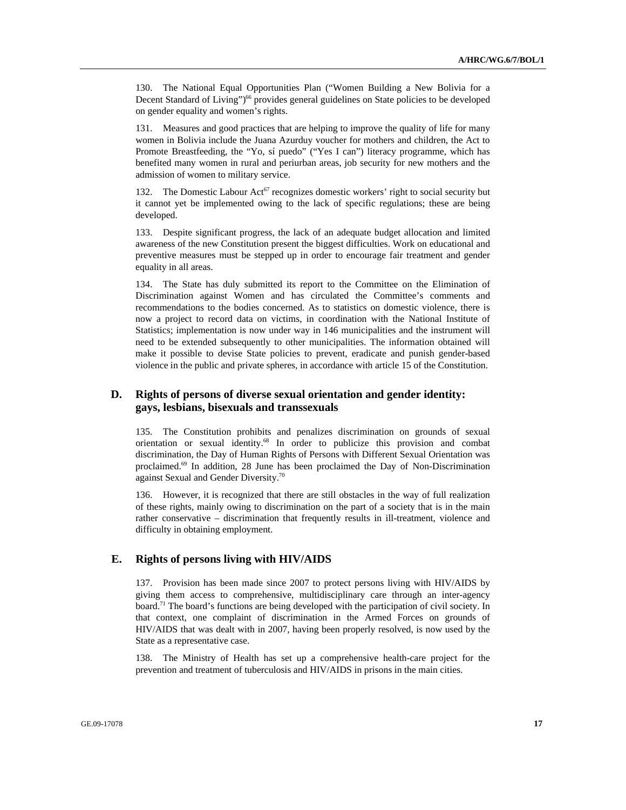130. The National Equal Opportunities Plan ("Women Building a New Bolivia for a Decent Standard of Living")<sup>66</sup> provides general guidelines on State policies to be developed on gender equality and women's rights.

131. Measures and good practices that are helping to improve the quality of life for many women in Bolivia include the Juana Azurduy voucher for mothers and children, the Act to Promote Breastfeeding, the "Yo, sí puedo" ("Yes I can") literacy programme, which has benefited many women in rural and periurban areas, job security for new mothers and the admission of women to military service.

132. The Domestic Labour Act<sup>67</sup> recognizes domestic workers' right to social security but it cannot yet be implemented owing to the lack of specific regulations; these are being developed.

133. Despite significant progress, the lack of an adequate budget allocation and limited awareness of the new Constitution present the biggest difficulties. Work on educational and preventive measures must be stepped up in order to encourage fair treatment and gender equality in all areas.

134. The State has duly submitted its report to the Committee on the Elimination of Discrimination against Women and has circulated the Committee's comments and recommendations to the bodies concerned. As to statistics on domestic violence, there is now a project to record data on victims, in coordination with the National Institute of Statistics; implementation is now under way in 146 municipalities and the instrument will need to be extended subsequently to other municipalities. The information obtained will make it possible to devise State policies to prevent, eradicate and punish gender-based violence in the public and private spheres, in accordance with article 15 of the Constitution.

### **D. Rights of persons of diverse sexual orientation and gender identity: gays, lesbians, bisexuals and transsexuals**

135. The Constitution prohibits and penalizes discrimination on grounds of sexual orientation or sexual identity.68 In order to publicize this provision and combat discrimination, the Day of Human Rights of Persons with Different Sexual Orientation was proclaimed.69 In addition, 28 June has been proclaimed the Day of Non-Discrimination against Sexual and Gender Diversity.70

136. However, it is recognized that there are still obstacles in the way of full realization of these rights, mainly owing to discrimination on the part of a society that is in the main rather conservative – discrimination that frequently results in ill-treatment, violence and difficulty in obtaining employment.

#### **E. Rights of persons living with HIV/AIDS**

137. Provision has been made since 2007 to protect persons living with HIV/AIDS by giving them access to comprehensive, multidisciplinary care through an inter-agency board.<sup>71</sup> The board's functions are being developed with the participation of civil society. In that context, one complaint of discrimination in the Armed Forces on grounds of HIV/AIDS that was dealt with in 2007, having been properly resolved, is now used by the State as a representative case.

138. The Ministry of Health has set up a comprehensive health-care project for the prevention and treatment of tuberculosis and HIV/AIDS in prisons in the main cities.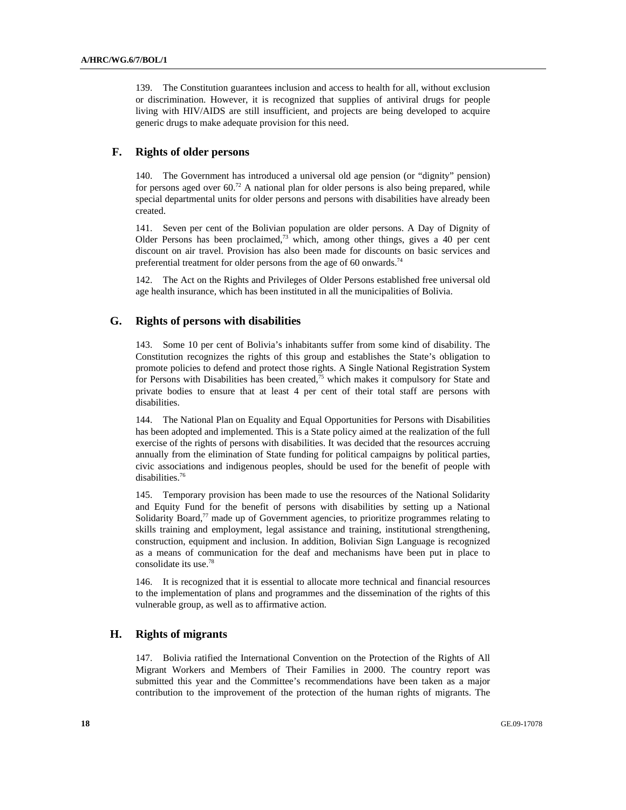139. The Constitution guarantees inclusion and access to health for all, without exclusion or discrimination. However, it is recognized that supplies of antiviral drugs for people living with HIV/AIDS are still insufficient, and projects are being developed to acquire generic drugs to make adequate provision for this need.

#### **F. Rights of older persons**

140. The Government has introduced a universal old age pension (or "dignity" pension) for persons aged over  $60<sup>72</sup>$  A national plan for older persons is also being prepared, while special departmental units for older persons and persons with disabilities have already been created.

141. Seven per cent of the Bolivian population are older persons. A Day of Dignity of Older Persons has been proclaimed, $73$  which, among other things, gives a 40 per cent discount on air travel. Provision has also been made for discounts on basic services and preferential treatment for older persons from the age of 60 onwards.<sup>74</sup>

142. The Act on the Rights and Privileges of Older Persons established free universal old age health insurance, which has been instituted in all the municipalities of Bolivia.

### **G. Rights of persons with disabilities**

143. Some 10 per cent of Bolivia's inhabitants suffer from some kind of disability. The Constitution recognizes the rights of this group and establishes the State's obligation to promote policies to defend and protect those rights. A Single National Registration System for Persons with Disabilities has been created, $7<sup>5</sup>$  which makes it compulsory for State and private bodies to ensure that at least 4 per cent of their total staff are persons with disabilities.

144. The National Plan on Equality and Equal Opportunities for Persons with Disabilities has been adopted and implemented. This is a State policy aimed at the realization of the full exercise of the rights of persons with disabilities. It was decided that the resources accruing annually from the elimination of State funding for political campaigns by political parties, civic associations and indigenous peoples, should be used for the benefit of people with disabilities.76

145. Temporary provision has been made to use the resources of the National Solidarity and Equity Fund for the benefit of persons with disabilities by setting up a National Solidarity Board, $77$  made up of Government agencies, to prioritize programmes relating to skills training and employment, legal assistance and training, institutional strengthening, construction, equipment and inclusion. In addition, Bolivian Sign Language is recognized as a means of communication for the deaf and mechanisms have been put in place to consolidate its use.78

146. It is recognized that it is essential to allocate more technical and financial resources to the implementation of plans and programmes and the dissemination of the rights of this vulnerable group, as well as to affirmative action.

#### **H. Rights of migrants**

147. Bolivia ratified the International Convention on the Protection of the Rights of All Migrant Workers and Members of Their Families in 2000. The country report was submitted this year and the Committee's recommendations have been taken as a major contribution to the improvement of the protection of the human rights of migrants. The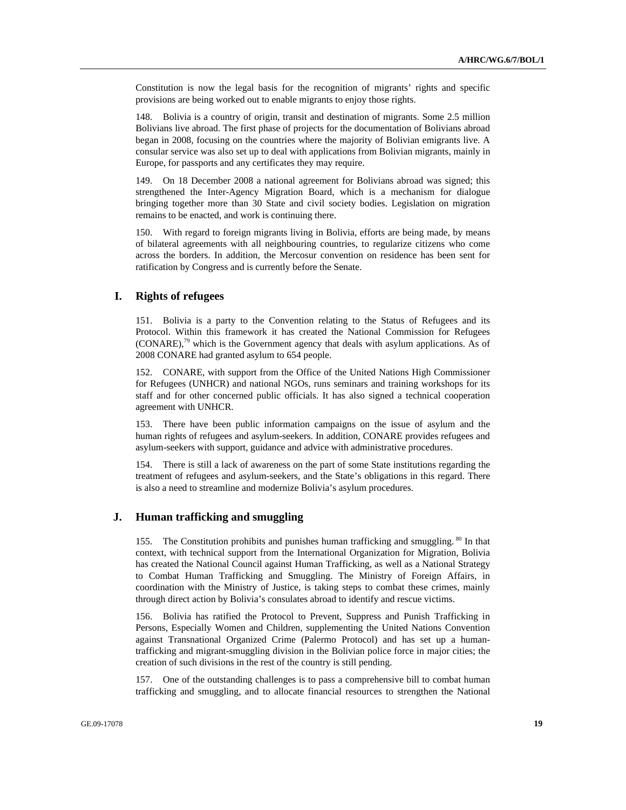Constitution is now the legal basis for the recognition of migrants' rights and specific provisions are being worked out to enable migrants to enjoy those rights.

148. Bolivia is a country of origin, transit and destination of migrants. Some 2.5 million Bolivians live abroad. The first phase of projects for the documentation of Bolivians abroad began in 2008, focusing on the countries where the majority of Bolivian emigrants live. A consular service was also set up to deal with applications from Bolivian migrants, mainly in Europe, for passports and any certificates they may require.

149. On 18 December 2008 a national agreement for Bolivians abroad was signed; this strengthened the Inter-Agency Migration Board, which is a mechanism for dialogue bringing together more than 30 State and civil society bodies. Legislation on migration remains to be enacted, and work is continuing there.

150. With regard to foreign migrants living in Bolivia, efforts are being made, by means of bilateral agreements with all neighbouring countries, to regularize citizens who come across the borders. In addition, the Mercosur convention on residence has been sent for ratification by Congress and is currently before the Senate.

#### **I. Rights of refugees**

151. Bolivia is a party to the Convention relating to the Status of Refugees and its Protocol. Within this framework it has created the National Commission for Refugees  $(CONARE)$ ,<sup>79</sup> which is the Government agency that deals with asylum applications. As of 2008 CONARE had granted asylum to 654 people.

152. CONARE, with support from the Office of the United Nations High Commissioner for Refugees (UNHCR) and national NGOs, runs seminars and training workshops for its staff and for other concerned public officials. It has also signed a technical cooperation agreement with UNHCR.

153. There have been public information campaigns on the issue of asylum and the human rights of refugees and asylum-seekers. In addition, CONARE provides refugees and asylum-seekers with support, guidance and advice with administrative procedures.

154. There is still a lack of awareness on the part of some State institutions regarding the treatment of refugees and asylum-seekers, and the State's obligations in this regard. There is also a need to streamline and modernize Bolivia's asylum procedures.

#### **J. Human trafficking and smuggling**

155. The Constitution prohibits and punishes human trafficking and smuggling. <sup>80</sup> In that context, with technical support from the International Organization for Migration, Bolivia has created the National Council against Human Trafficking, as well as a National Strategy to Combat Human Trafficking and Smuggling. The Ministry of Foreign Affairs, in coordination with the Ministry of Justice, is taking steps to combat these crimes, mainly through direct action by Bolivia's consulates abroad to identify and rescue victims.

156. Bolivia has ratified the Protocol to Prevent, Suppress and Punish Trafficking in Persons, Especially Women and Children, supplementing the United Nations Convention against Transnational Organized Crime (Palermo Protocol) and has set up a humantrafficking and migrant-smuggling division in the Bolivian police force in major cities; the creation of such divisions in the rest of the country is still pending.

157. One of the outstanding challenges is to pass a comprehensive bill to combat human trafficking and smuggling, and to allocate financial resources to strengthen the National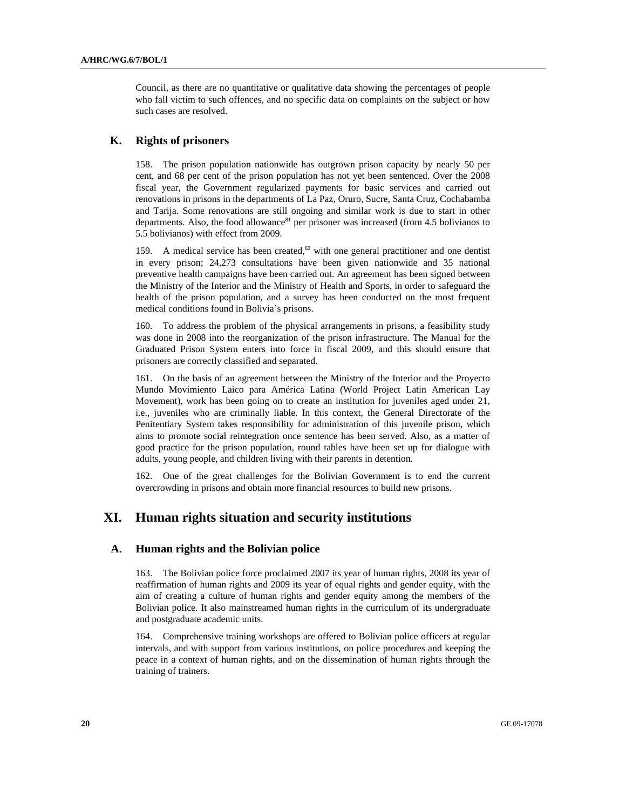Council, as there are no quantitative or qualitative data showing the percentages of people who fall victim to such offences, and no specific data on complaints on the subject or how such cases are resolved.

### **K. Rights of prisoners**

158. The prison population nationwide has outgrown prison capacity by nearly 50 per cent, and 68 per cent of the prison population has not yet been sentenced. Over the 2008 fiscal year, the Government regularized payments for basic services and carried out renovations in prisons in the departments of La Paz, Oruro, Sucre, Santa Cruz, Cochabamba and Tarija. Some renovations are still ongoing and similar work is due to start in other departments. Also, the food allowance $81$  per prisoner was increased (from 4.5 bolivianos to 5.5 bolivianos) with effect from 2009.

159. A medical service has been created, $82$  with one general practitioner and one dentist in every prison; 24,273 consultations have been given nationwide and 35 national preventive health campaigns have been carried out. An agreement has been signed between the Ministry of the Interior and the Ministry of Health and Sports, in order to safeguard the health of the prison population, and a survey has been conducted on the most frequent medical conditions found in Bolivia's prisons.

160. To address the problem of the physical arrangements in prisons, a feasibility study was done in 2008 into the reorganization of the prison infrastructure. The Manual for the Graduated Prison System enters into force in fiscal 2009, and this should ensure that prisoners are correctly classified and separated.

161. On the basis of an agreement between the Ministry of the Interior and the Proyecto Mundo Movimiento Laico para América Latina (World Project Latin American Lay Movement), work has been going on to create an institution for juveniles aged under 21, i.e., juveniles who are criminally liable. In this context, the General Directorate of the Penitentiary System takes responsibility for administration of this juvenile prison, which aims to promote social reintegration once sentence has been served. Also, as a matter of good practice for the prison population, round tables have been set up for dialogue with adults, young people, and children living with their parents in detention.

162. One of the great challenges for the Bolivian Government is to end the current overcrowding in prisons and obtain more financial resources to build new prisons.

# **XI. Human rights situation and security institutions**

#### **A. Human rights and the Bolivian police**

163. The Bolivian police force proclaimed 2007 its year of human rights, 2008 its year of reaffirmation of human rights and 2009 its year of equal rights and gender equity, with the aim of creating a culture of human rights and gender equity among the members of the Bolivian police. It also mainstreamed human rights in the curriculum of its undergraduate and postgraduate academic units.

164. Comprehensive training workshops are offered to Bolivian police officers at regular intervals, and with support from various institutions, on police procedures and keeping the peace in a context of human rights, and on the dissemination of human rights through the training of trainers.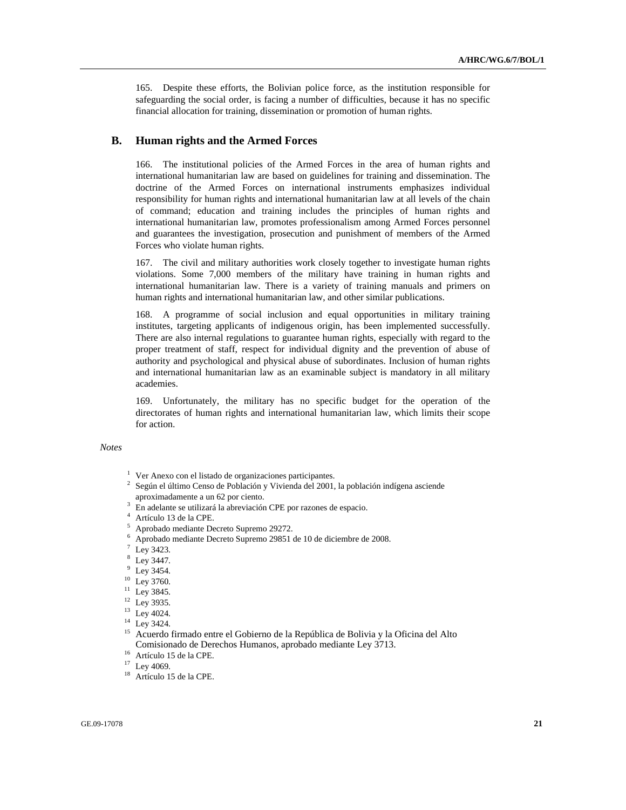165. Despite these efforts, the Bolivian police force, as the institution responsible for safeguarding the social order, is facing a number of difficulties, because it has no specific financial allocation for training, dissemination or promotion of human rights.

#### **B. Human rights and the Armed Forces**

166. The institutional policies of the Armed Forces in the area of human rights and international humanitarian law are based on guidelines for training and dissemination. The doctrine of the Armed Forces on international instruments emphasizes individual responsibility for human rights and international humanitarian law at all levels of the chain of command; education and training includes the principles of human rights and international humanitarian law, promotes professionalism among Armed Forces personnel and guarantees the investigation, prosecution and punishment of members of the Armed Forces who violate human rights.

167. The civil and military authorities work closely together to investigate human rights violations. Some 7,000 members of the military have training in human rights and international humanitarian law. There is a variety of training manuals and primers on human rights and international humanitarian law, and other similar publications.

168. A programme of social inclusion and equal opportunities in military training institutes, targeting applicants of indigenous origin, has been implemented successfully. There are also internal regulations to guarantee human rights, especially with regard to the proper treatment of staff, respect for individual dignity and the prevention of abuse of authority and psychological and physical abuse of subordinates. Inclusion of human rights and international humanitarian law as an examinable subject is mandatory in all military academies.

169. Unfortunately, the military has no specific budget for the operation of the directorates of human rights and international humanitarian law, which limits their scope for action.

 *Notes* 

- $2^{2}$  Según el último Censo de Población y Vivienda del 2001, la población indígena asciende aproximadamente a un 62 por ciento. 3 En adelante se utilizará la abreviación CPE por razones de espacio.
- 

4 Artículo 13 de la CPE.

- 5 Aprobado mediante Decreto Supremo 29272.
- 6 Aprobado mediante Decreto Supremo 29851 de 10 de diciembre de 2008.

 $7$  Ley 3423.

<sup>8</sup> Ley 3447.

- $9$  Ley 3454.
- 10 Ley 3760.

<sup>11</sup> Ley 3845.

12 Ley 3935.

<sup>13</sup> Ley 4024.

14 Ley 3424.

<sup>15</sup> Acuerdo firmado entre el Gobierno de la República de Bolivia y la Oficina del Alto Comisionado de Derechos Humanos, aprobado mediante Ley 3713. 16 Artículo 15 de la CPE.

<sup>17</sup> Ley 4069.

18 Artículo 15 de la CPE.

<sup>&</sup>lt;sup>1</sup> Ver Anexo con el listado de organizaciones participantes.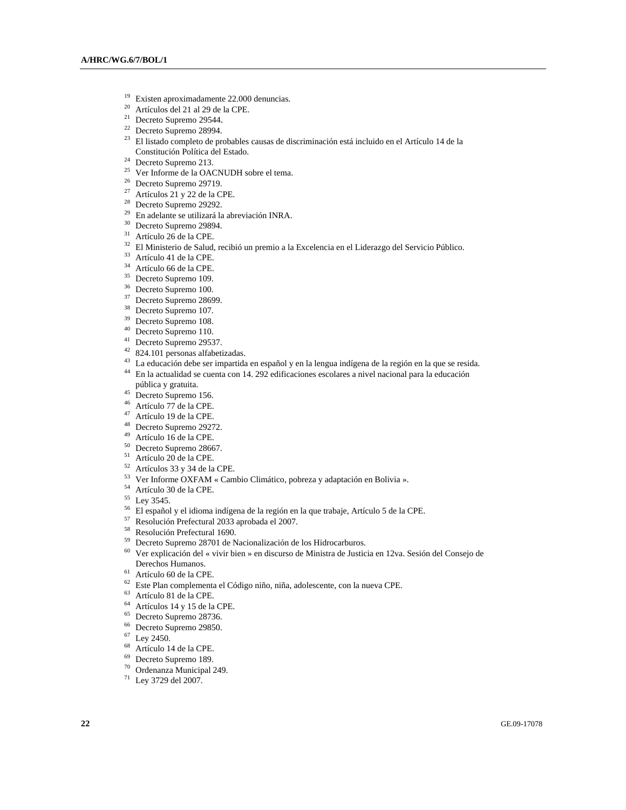- <sup>19</sup> Existen aproximadamente 22.000 denuncias.<br><sup>20</sup> Artículos del 21 al 29 de la CPE
- Artículos del 21 al 29 de la CPE.
- 21 Decreto Supremo 29544.
- $\frac{22}{23}$  Decreto Supremo 28994.
- 23 El listado completo de probables causas de discriminación está incluido en el Artículo 14 de la
- $24$  Decreto Supremo 213.
- <sup>25</sup> Ver Informe de la OACNUDH sobre el tema.
- 26 Decreto Supremo 29719.
- 27 Artículos 21 y 22 de la CPE.
- 28 Decreto Supremo 29292.
- 29 En adelante se utilizará la abreviación INRA.
- 30 Decreto Supremo 29894.
- 31 Artículo 26 de la CPE.
- $32$  El Ministerio de Salud, recibió un premio a la Excelencia en el Liderazgo del Servicio Público.<br> $33$  Artículo 41 de la CPE.
- 
- 34 Artículo 66 de la CPE.
- 35 Decreto Supremo 109.
- 36 Decreto Supremo 100.
- 37 Decreto Supremo 28699.
- 38 Decreto Supremo 107.
- <sup>39</sup> Decreto Supremo 108.
- 40 Decreto Supremo 110.
- 41 Decreto Supremo 29537.
- 42 824.101 personas alfabetizadas.
- 43 La educación debe ser impartida en español y en la lengua indígena de la región en la que se resida. 44 En la actualidad se cuenta con 14. 292 edificaciones escolares a nivel nacional para la educación
- 
- pública y gratuita.<br>
<sup>45</sup> Decreto Supremo 156.<br>
<sup>46</sup> Artícula <sup>77</sup> de la CDE.
- $^{46}$  Artículo 77 de la CPE.
- Artículo 19 de la CPE.
- $^{48}$  Decreto Supremo 29272.
- Artículo 16 de la CPE.
- 50 Decreto Supremo 28667.
- 51 Artículo 20 de la CPE.
- 52 Artículos 33 y 34 de la CPE.
- 53 Ver Informe OXFAM « Cambio Climático, pobreza y adaptación en Bolivia ».
- 54 Artículo 30 de la CPE.
- 55 Ley 3545.
- 56 El español y el idioma indígena de la región en la que trabaje, Artículo 5 de la CPE. 57 Resolución Prefectural 2033 aprobada el 2007.
- 
- 58 Resolución Prefectural 1690.
- 59 Decreto Supremo 28701 de Nacionalización de los Hidrocarburos.
- 60 Ver explicación del « vivir bien » en discurso de Ministra de Justicia en 12va. Sesión del Consejo de Derechos Humanos. 61 Artículo 60 de la CPE.
- 
- <sup>62</sup> Este Plan complementa el Código niño, niña, adolescente, con la nueva CPE.<br><sup>63</sup> Artículo 81 de la CPE
- Artículo 81 de la CPE.
- 64 Artículos 14 y 15 de la CPE.
- 65 Decreto Supremo 28736.
- 66 Decreto Supremo 29850.
- $^{67}$  Ley 2450.
- Artículo 14 de la CPE.
- 69 Decreto Supremo 189.
- 70 Ordenanza Municipal 249.
- 71 Ley 3729 del 2007.